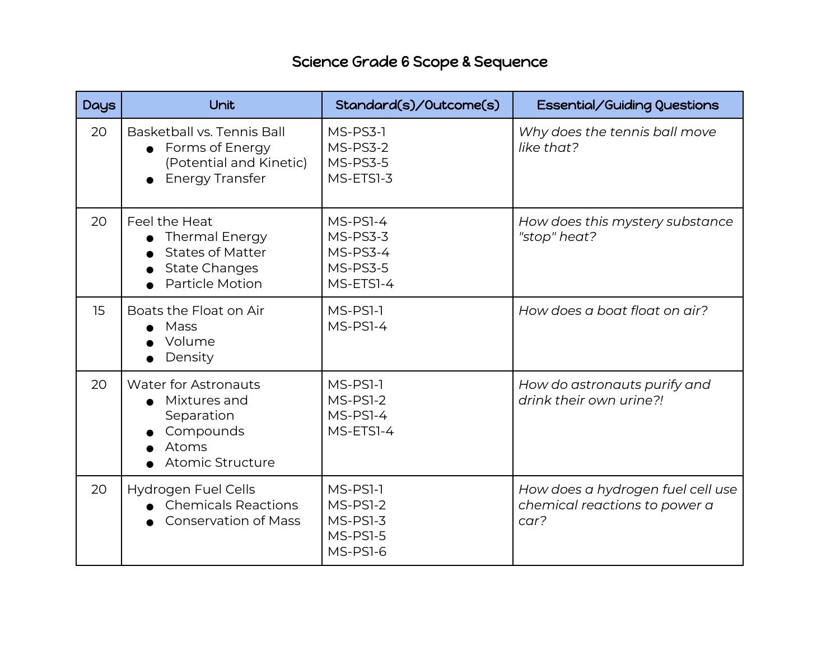## Science Grade 6 Scope & Sequence

| Days | Unit                                                                                                                | Standard(s)/Outcome(s)                                    | Essential/Guiding Questions                                                |
|------|---------------------------------------------------------------------------------------------------------------------|-----------------------------------------------------------|----------------------------------------------------------------------------|
| 20   | Basketball vs. Tennis Ball<br>Forms of Energy<br>(Potential and Kinetic)<br><b>Energy Transfer</b>                  | MS-PS3-1<br>MS-PS3-2<br>MS-PS3-5<br>MS-ETS1-3             | Why does the tennis ball move<br>like that?                                |
| 20   | Feel the Heat<br><b>Thermal Energy</b><br><b>States of Matter</b><br><b>State Changes</b><br><b>Particle Motion</b> | MS-PS1-4<br>MS-PS3-3<br>MS-PS3-4<br>MS-PS3-5<br>MS-ETS1-4 | How does this mystery substance<br>"stop" heat?                            |
| 15   | Boats the Float on Air<br>Mass<br>Volume<br>Density                                                                 | MS-PS1-1<br>MS-PS1-4                                      | How does a boat float on air?                                              |
| 20   | <b>Water for Astronauts</b><br>• Mixtures and<br>Separation<br>Compounds<br>Atoms<br>Atomic Structure               | MS-PSI-1<br>MS-PS1-2<br>MS-PS1-4<br>MS-ETS1-4             | How do astronauts purify and<br>drink their own urine?!                    |
| 20   | Hydrogen Fuel Cells<br><b>Chemicals Reactions</b><br><b>Conservation of Mass</b>                                    | MS-PS1-1<br>MS-PS1-2<br>MS-PS1-3<br>MS-PS1-5<br>MS-PS1-6  | How does a hydrogen fuel cell use<br>chemical reactions to power a<br>car? |